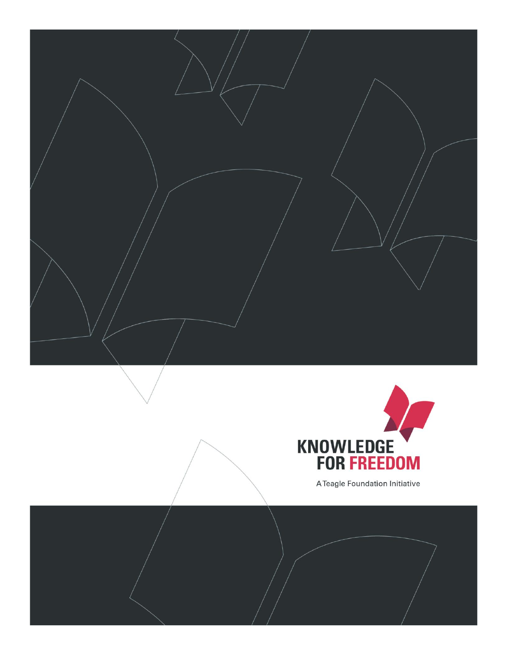



A Teagle Foundation Initiative

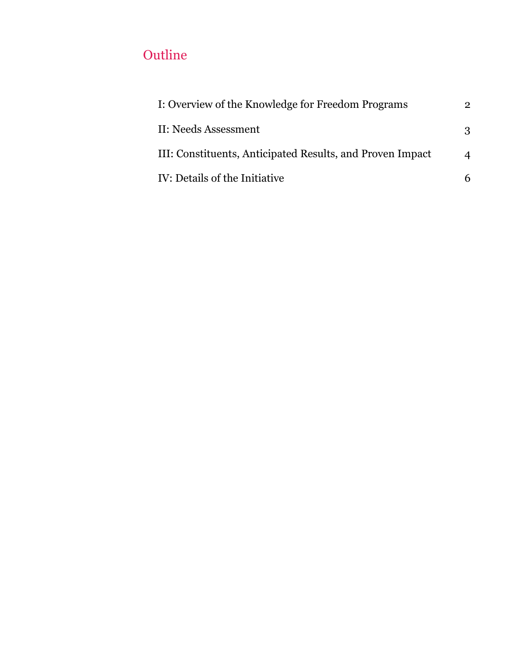# **Outline**

| I: Overview of the Knowledge for Freedom Programs         | 2        |
|-----------------------------------------------------------|----------|
| II: Needs Assessment                                      | 3        |
| III: Constituents, Anticipated Results, and Proven Impact | $\Delta$ |
| IV: Details of the Initiative                             | 6        |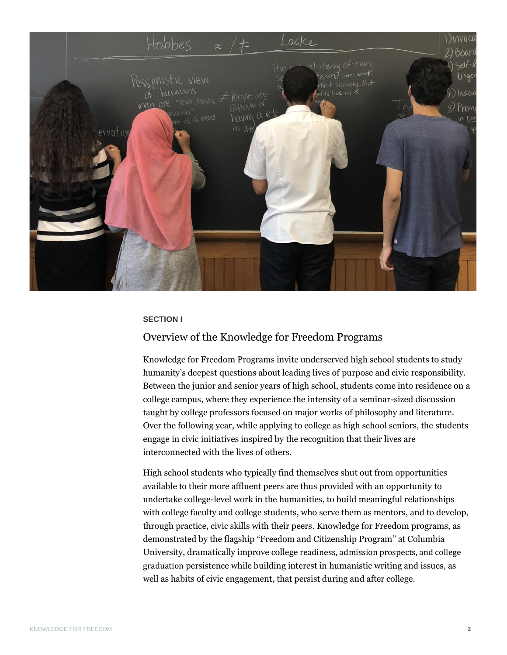

### **SECTION I**

# <span id="page-2-0"></span>Overview of the Knowledge for Freedom Programs

Knowledge for Freedom Programs invite underserved high school students to study humanity's deepest questions about leading lives of purpose and civic responsibility. Between the junior and senior years of high school, students come into residence on a college campus, where they experience the intensity of a seminar-sized discussion taught by college professors focused on major works of philosophy and literature. Over the following year, while applying to college as high school seniors, the students engage in civic initiatives inspired by the recognition that their lives are interconnected with the lives of others.

High school students who typically find themselves shut out from opportunities available to their more affluent peers are thus provided with an opportunity to undertake college-level work in the humanities, to build meaningful relationships with college faculty and college students, who serve them as mentors, and to develop, through practice, civic skills with their peers. Knowledge for Freedom programs, as demonstrated by the flagship "Freedom and Citizenship Program" at Columbia University, dramatically improve college readiness, admission prospects, and college graduation persistence while building interest in humanistic writing and issues, as well as habits of civic engagement, that persist during and after college.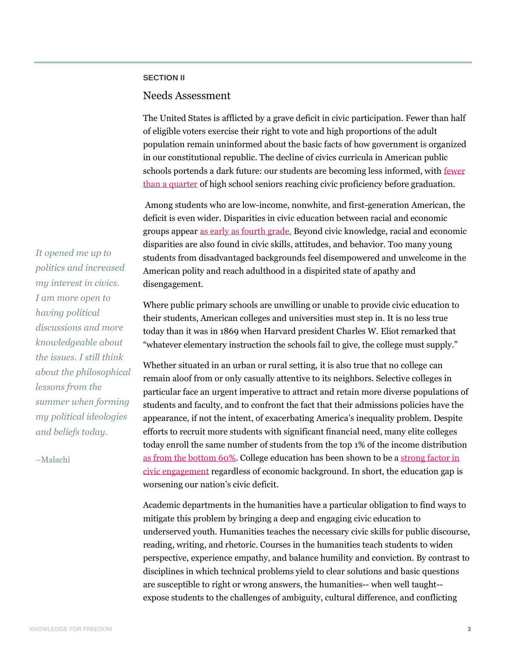## **SECTION II**

## <span id="page-3-0"></span>Needs Assessment

The United States is afflicted by a grave deficit in civic participation. Fewer than half of eligible voters exercise their right to vote and high proportions of the adult population remain uninformed about the basic facts of how government is organized in our constitutional republic. The decline of civics curricula in American public schools portends a dark future: our students are becoming less informed, with [fewer](https://nces.ed.gov/nationsreportcard/pdf/main2010/2011466.pdf)  [than a quarter](https://nces.ed.gov/nationsreportcard/pdf/main2010/2011466.pdf) of high school seniors reaching civic proficiency before graduation.

Among students who are low-income, nonwhite, and first-generation American, the deficit is even wider. Disparities in civic education between racial and economic groups appear [as early as fourth grade.](https://dash.harvard.edu/bitstream/handle/1/8454069/Levinson+The+Civic+Empowerment+Gap.pdf?sequence=1) Beyond civic knowledge, racial and economic disparities are also found in civic skills, attitudes, and behavior. Too many young students from disadvantaged backgrounds feel disempowered and unwelcome in the American polity and reach adulthood in a dispirited state of apathy and disengagement.

Where public primary schools are unwilling or unable to provide civic education to their students, American colleges and universities must step in. It is no less true today than it was in 1869 when Harvard president Charles W. Eliot remarked that "whatever elementary instruction the schools fail to give, the college must supply."

Whether situated in an urban or rural setting, it is also true that no college can remain aloof from or only casually attentive to its neighbors. Selective colleges in particular face an urgent imperative to attract and retain more diverse populations of students and faculty, and to confront the fact that their admissions policies have the appearance, if not the intent, of exacerbating America's inequality problem. Despite efforts to recruit more students with significant financial need, many elite colleges today enroll the same number of students from the top 1% of the income distributio[n](https://www.nytimes.com/interactive/2017/01/18/upshot/some-colleges-have-more-students-from-the-top-1-percent-than-the-bottom-60.html) [as from the bottom 60%.](https://www.nytimes.com/interactive/2017/01/18/upshot/some-colleges-have-more-students-from-the-top-1-percent-than-the-bottom-60.html) College education has been shown to be a [strong factor in](https://civicyouth.org/wp-content/uploads/2012/08/CIRCLE_ThatsNotDemocracy_WebFinal.pdf)  [civic engagement](https://civicyouth.org/wp-content/uploads/2012/08/CIRCLE_ThatsNotDemocracy_WebFinal.pdf) regardless of economic background. In short, the education gap is worsening our nation's civic deficit.

Academic departments in the humanities have a particular obligation to find ways to mitigate this problem by bringing a deep and engaging civic education to underserved youth. Humanities teaches the necessary civic skills for public discourse, reading, writing, and rhetoric. Courses in the humanities teach students to widen perspective, experience empathy, and balance humility and conviction. By contrast to disciplines in which technical problems yield to clear solutions and basic questions are susceptible to right or wrong answers, the humanities-- when well taught- expose students to the challenges of ambiguity, cultural difference, and conflicting

*It opened me up to politics and increased my interest in civics. I am more open to having political discussions and more knowledgeable about the issues. I still think about the philosophical lessons from the summer when forming my political ideologies and beliefs today.*

–Malachi

*"*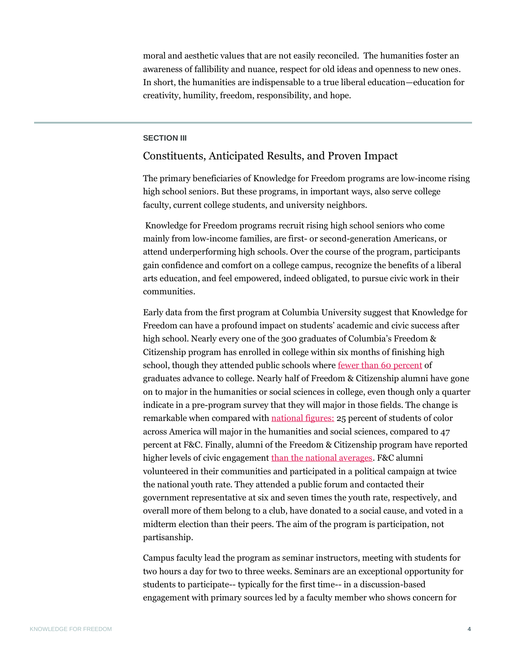moral and aesthetic values that are not easily reconciled. The humanities foster an awareness of fallibility and nuance, respect for old ideas and openness to new ones. In short, the humanities are indispensable to a true liberal education—education for creativity, humility, freedom, responsibility, and hope.

## **SECTION III**

# <span id="page-4-0"></span>Constituents, Anticipated Results, and Proven Impact

The primary beneficiaries of Knowledge for Freedom programs are low-income rising high school seniors. But these programs, in important ways, also serve college faculty, current college students, and university neighbors.

Knowledge for Freedom programs recruit rising high school seniors who come mainly from low-income families, are first- or second-generation Americans, or attend underperforming high schools. Over the course of the program, participants gain confidence and comfort on a college campus, recognize the benefits of a liberal arts education, and feel empowered, indeed obligated, to pursue civic work in their communities.

Early data from the first program at Columbia University suggest that Knowledge for Freedom can have a profound impact on students' academic and civic success after high school. Nearly every one of the 300 graduates of Columbia's Freedom & Citizenship program has enrolled in college within six months of finishing high school, though they attended public schools where [fewer than 60 percent](https://research.steinhardt.nyu.edu/site/research_alliance/2019/06/28/how-have-nycs-high-school-graduation-and-college-enrollment-rates-changed-over-time/) of graduates advance to college. Nearly half of Freedom & Citizenship alumni have gone on to major in the humanities or social sciences in college, even though only a quarter indicate in a pre-program survey that they will major in those fields. The change is remarkable when compared with [national figures:](https://nces.ed.gov/programs/digest/d17/tables/dt17_322.10.asp?current=yes) 25 percent of students of color across America will major in the humanities and social sciences, compared to 47 percent at F&C. Finally, alumni of the Freedom & Citizenship program have reported higher levels of civic engagement [than the national averages.](https://www.civicyouth.org/wp-content/uploads/2011/11/CIRCLE_cluster_report2010.pdf) F&C alumni volunteered in their communities and participated in a political campaign at twice the national youth rate. They attended a public forum and contacted their government representative at six and seven times the youth rate, respectively, and overall more of them belong to a club, have donated to a social cause, and voted in a midterm election than their peers. The aim of the program is participation, not partisanship.

Campus faculty lead the program as seminar instructors, meeting with students for two hours a day for two to three weeks. Seminars are an exceptional opportunity for students to participate-- typically for the first time-- in a discussion-based engagement with primary sources led by a faculty member who shows concern for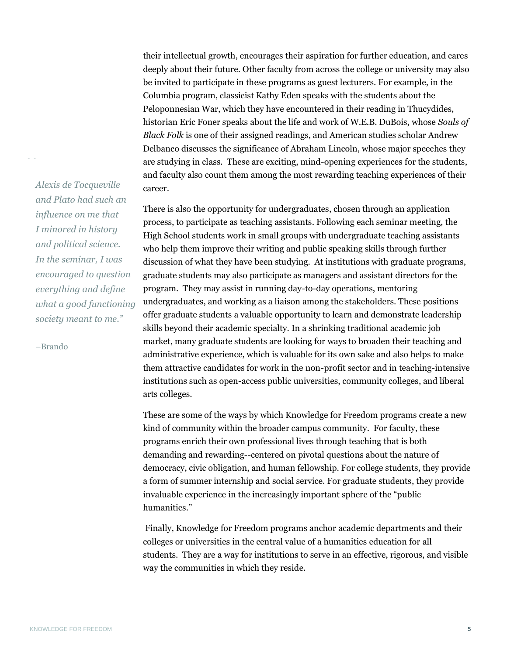their intellectual growth, encourages their aspiration for further education, and cares deeply about their future. Other faculty from across the college or university may also be invited to participate in these programs as guest lecturers. For example, in the Columbia program, classicist Kathy Eden speaks with the students about the Peloponnesian War, which they have encountered in their reading in Thucydides, historian Eric Foner speaks about the life and work of W.E.B. DuBois, whose *Souls of Black Folk* is one of their assigned readings, and American studies scholar Andrew Delbanco discusses the significance of Abraham Lincoln, whose major speeches they are studying in class. These are exciting, mind-opening experiences for the students, and faculty also count them among the most rewarding teaching experiences of their career.

There is also the opportunity for undergraduates, chosen through an application process, to participate as teaching assistants. Following each seminar meeting, the High School students work in small groups with undergraduate teaching assistants who help them improve their writing and public speaking skills through further discussion of what they have been studying. At institutions with graduate programs, graduate students may also participate as managers and assistant directors for the program. They may assist in running day-to-day operations, mentoring undergraduates, and working as a liaison among the stakeholders. These positions offer graduate students a valuable opportunity to learn and demonstrate leadership skills beyond their academic specialty. In a shrinking traditional academic job market, many graduate students are looking for ways to broaden their teaching and administrative experience, which is valuable for its own sake and also helps to make them attractive candidates for work in the non-profit sector and in teaching-intensive institutions such as open-access public universities, community colleges, and liberal arts colleges.

These are some of the ways by which Knowledge for Freedom programs create a new kind of community within the broader campus community. For faculty, these programs enrich their own professional lives through teaching that is both demanding and rewarding--centered on pivotal questions about the nature of democracy, civic obligation, and human fellowship. For college students, they provide a form of summer internship and social service. For graduate students, they provide invaluable experience in the increasingly important sphere of the "public humanities."

Finally, Knowledge for Freedom programs anchor academic departments and their colleges or universities in the central value of a humanities education for all students. They are a way for institutions to serve in an effective, rigorous, and visible way the communities in which they reside.

*Alexis de Tocqueville and Plato had such an influence on me that I minored in history and political science. In the seminar, I was encouraged to question everything and define what a good functioning society meant to me."*

–Brando

*"*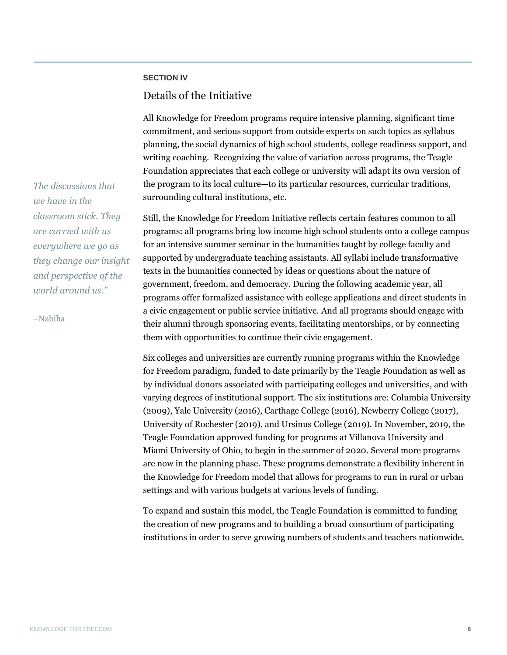## **SECTION IV**

# <span id="page-6-0"></span>Details of the Initiative

All Knowledge for Freedom programs require intensive planning, significant time commitment, and serious support from outside experts on such topics as syllabus planning, the social dynamics of high school students, college readiness support, and writing coaching. Recognizing the value of variation across programs, the Teagle Foundation appreciates that each college or university will adapt its own version of the program to its local culture—to its particular resources, curricular traditions, surrounding cultural institutions, etc.

Still, the Knowledge for Freedom Initiative reflects certain features common to all programs: all programs bring low income high school students onto a college campus for an intensive summer seminar in the humanities taught by college faculty and supported by undergraduate teaching assistants. All syllabi include transformative texts in the humanities connected by ideas or questions about the nature of government, freedom, and democracy. During the following academic year, all programs offer formalized assistance with college applications and direct students in a civic engagement or public service initiative. And all programs should engage with their alumni through sponsoring events, facilitating mentorships, or by connecting them with opportunities to continue their civic engagement.

Six colleges and universities are currently running programs within the Knowledge for Freedom paradigm, funded to date primarily by the Teagle Foundation as well as by individual donors associated with participating colleges and universities, and with varying degrees of institutional support. The six institutions are: Columbia University (2009), Yale University (2016), Carthage College (2016), Newberry College (2017), University of Rochester (2019), and Ursinus College (2019). In November, 2019, the Teagle Foundation approved funding for programs at Villanova University and Miami University of Ohio, to begin in the summer of 2020. Several more programs are now in the planning phase. These programs demonstrate a flexibility inherent in the Knowledge for Freedom model that allows for programs to run in rural or urban settings and with various budgets at various levels of funding.

To expand and sustain this model, the Teagle Foundation is committed to funding the creation of new programs and to building a broad consortium of participating institutions in order to serve growing numbers of students and teachers nationwide.

*The discussions that we have in the classroom stick. They are carried with us everywhere we go as they change our insight and perspective of the world around us."*

–Nabiha

*"*